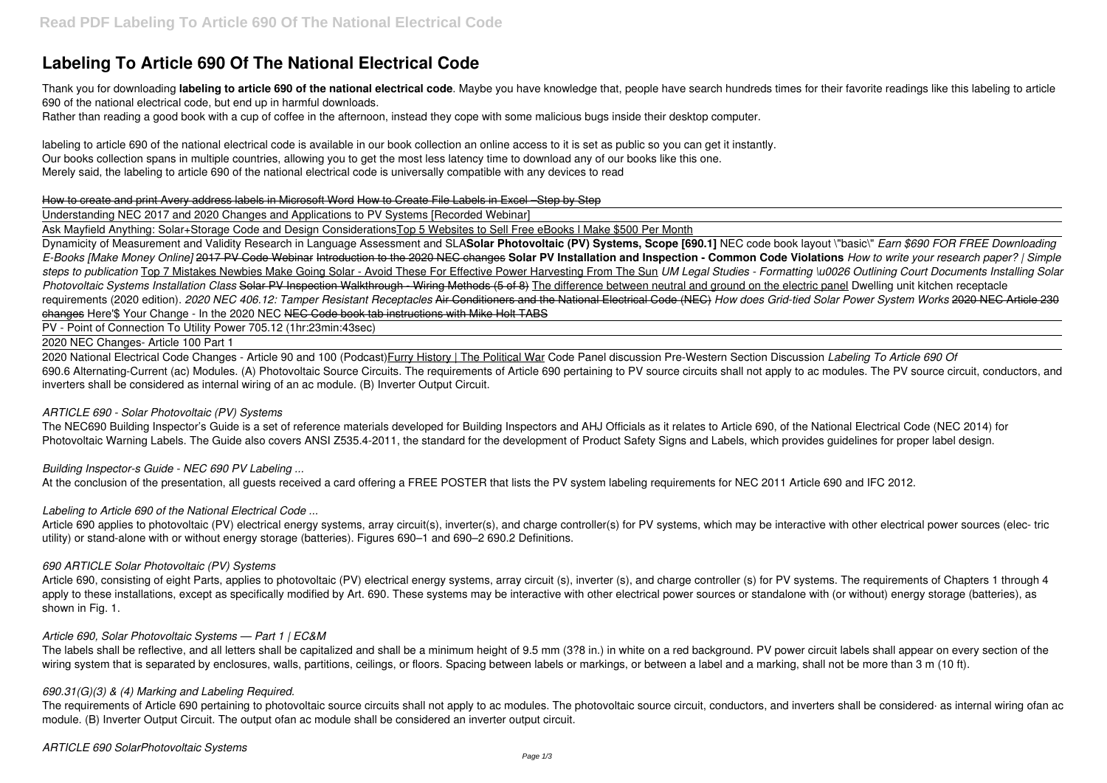# **Labeling To Article 690 Of The National Electrical Code**

Thank you for downloading **labeling to article 690 of the national electrical code**. Maybe you have knowledge that, people have search hundreds times for their favorite readings like this labeling to article 690 of the national electrical code, but end up in harmful downloads.

Rather than reading a good book with a cup of coffee in the afternoon, instead they cope with some malicious bugs inside their desktop computer.

labeling to article 690 of the national electrical code is available in our book collection an online access to it is set as public so you can get it instantly. Our books collection spans in multiple countries, allowing you to get the most less latency time to download any of our books like this one. Merely said, the labeling to article 690 of the national electrical code is universally compatible with any devices to read

## How to create and print Avery address labels in Microsoft Word How to Create File Labels in Excel –Step by Step

Understanding NEC 2017 and 2020 Changes and Applications to PV Systems [Recorded Webinar]

Ask Mayfield Anything: Solar+Storage Code and Design ConsiderationsTop 5 Websites to Sell Free eBooks l Make \$500 Per Month

The NEC690 Building Inspector's Guide is a set of reference materials developed for Building Inspectors and AHJ Officials as it relates to Article 690, of the National Electrical Code (NEC 2014) for Photovoltaic Warning Labels. The Guide also covers ANSI Z535.4-2011, the standard for the development of Product Safety Signs and Labels, which provides guidelines for proper label design.

Dynamicity of Measurement and Validity Research in Language Assessment and SLA**Solar Photovoltaic (PV) Systems, Scope [690.1]** NEC code book layout \"basic\" *Earn \$690 FOR FREE Downloading E-Books [Make Money Online]* 2017 PV Code Webinar Introduction to the 2020 NEC changes **Solar PV Installation and Inspection - Common Code Violations** *How to write your research paper? | Simple steps to publication* Top 7 Mistakes Newbies Make Going Solar - Avoid These For Effective Power Harvesting From The Sun *UM Legal Studies - Formatting \u0026 Outlining Court Documents Installing Solar Photovoltaic Systems Installation Class* Solar PV Inspection Walkthrough - Wiring Methods (5 of 8) The difference between neutral and ground on the electric panel Dwelling unit kitchen receptacle requirements (2020 edition). *2020 NEC 406.12: Tamper Resistant Receptacles* Air Conditioners and the National Electrical Code (NEC) *How does Grid-tied Solar Power System Works* 2020 NEC Article 230 changes Here'\$ Your Change - In the 2020 NEC NEC Code book tab instructions with Mike Holt TABS

Article 690, consisting of eight Parts, applies to photovoltaic (PV) electrical energy systems, array circuit (s), inverter (s), and charge controller (s) for PV systems. The requirements of Chapters 1 through 4 apply to these installations, except as specifically modified by Art. 690. These systems may be interactive with other electrical power sources or standalone with (or without) energy storage (batteries), as shown in Fig. 1.

The labels shall be reflective, and all letters shall be capitalized and shall be a minimum height of 9.5 mm (3?8 in.) in white on a red background. PV power circuit labels shall appear on every section of the wiring system that is separated by enclosures, walls, partitions, ceilings, or floors. Spacing between labels or markings, or between a label and a marking, shall not be more than 3 m (10 ft).

PV - Point of Connection To Utility Power 705.12 (1hr:23min:43sec)

2020 NEC Changes- Article 100 Part 1

The requirements of Article 690 pertaining to photovoltaic source circuits shall not apply to ac modules. The photovoltaic source circuit, conductors, and inverters shall be considered· as internal wiring ofan ac module. (B) Inverter Output Circuit. The output ofan ac module shall be considered an inverter output circuit.

2020 National Electrical Code Changes - Article 90 and 100 (Podcast)Furry History | The Political War Code Panel discussion Pre-Western Section Discussion *Labeling To Article 690 Of* 690.6 Alternating-Current (ac) Modules. (A) Photovoltaic Source Circuits. The requirements of Article 690 pertaining to PV source circuits shall not apply to ac modules. The PV source circuit, conductors, and inverters shall be considered as internal wiring of an ac module. (B) Inverter Output Circuit.

## *ARTICLE 690 - Solar Photovoltaic (PV) Systems*

# *Building Inspector-s Guide - NEC 690 PV Labeling ...*

At the conclusion of the presentation, all guests received a card offering a FREE POSTER that lists the PV system labeling requirements for NEC 2011 Article 690 and IFC 2012.

# *Labeling to Article 690 of the National Electrical Code ...*

Article 690 applies to photovoltaic (PV) electrical energy systems, array circuit(s), inverter(s), and charge controller(s) for PV systems, which may be interactive with other electrical power sources (elec- tric utility) or stand-alone with or without energy storage (batteries). Figures 690–1 and 690–2 690.2 Definitions.

## *690 ARTICLE Solar Photovoltaic (PV) Systems*

## *Article 690, Solar Photovoltaic Systems — Part 1 | EC&M*

# *690.31(G)(3) & (4) Marking and Labeling Required.*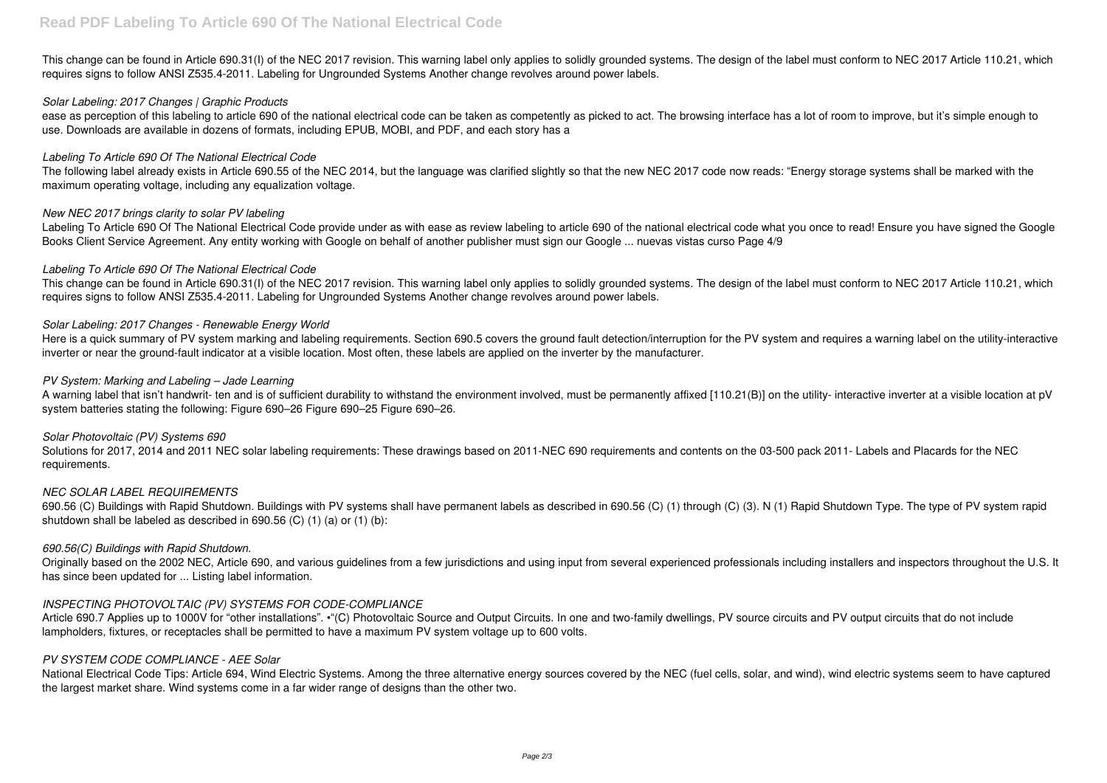This change can be found in Article 690.31(I) of the NEC 2017 revision. This warning label only applies to solidly grounded systems. The design of the label must conform to NEC 2017 Article 110.21, which requires signs to follow ANSI Z535.4-2011. Labeling for Ungrounded Systems Another change revolves around power labels.

ease as perception of this labeling to article 690 of the national electrical code can be taken as competently as picked to act. The browsing interface has a lot of room to improve, but it's simple enough to use. Downloads are available in dozens of formats, including EPUB, MOBI, and PDF, and each story has a

## *Solar Labeling: 2017 Changes | Graphic Products*

Labeling To Article 690 Of The National Electrical Code provide under as with ease as review labeling to article 690 of the national electrical code what you once to read! Ensure you have signed the Google Books Client Service Agreement. Any entity working with Google on behalf of another publisher must sign our Google ... nuevas vistas curso Page 4/9

## *Labeling To Article 690 Of The National Electrical Code*

The following label already exists in Article 690.55 of the NEC 2014, but the language was clarified slightly so that the new NEC 2017 code now reads: "Energy storage systems shall be marked with the maximum operating voltage, including any equalization voltage.

## *New NEC 2017 brings clarity to solar PV labeling*

Here is a quick summary of PV system marking and labeling requirements. Section 690.5 covers the ground fault detection/interruption for the PV system and requires a warning label on the utility-interactive inverter or near the ground-fault indicator at a visible location. Most often, these labels are applied on the inverter by the manufacturer.

## *Labeling To Article 690 Of The National Electrical Code*

This change can be found in Article 690.31(I) of the NEC 2017 revision. This warning label only applies to solidly grounded systems. The design of the label must conform to NEC 2017 Article 110.21, which requires signs to follow ANSI Z535.4-2011. Labeling for Ungrounded Systems Another change revolves around power labels.

## *Solar Labeling: 2017 Changes - Renewable Energy World*

Article 690.7 Applies up to 1000V for "other installations". •"(C) Photovoltaic Source and Output Circuits. In one and two-family dwellings. PV source circuits and PV output circuits that do not include lampholders, fixtures, or receptacles shall be permitted to have a maximum PV system voltage up to 600 volts.

## *PV System: Marking and Labeling – Jade Learning*

A warning label that isn't handwrit- ten and is of sufficient durability to withstand the environment involved, must be permanently affixed [110.21(B)] on the utility- interactive inverter at a visible location at pV system batteries stating the following: Figure 690–26 Figure 690–25 Figure 690–26.

## *Solar Photovoltaic (PV) Systems 690*

Solutions for 2017, 2014 and 2011 NEC solar labeling requirements: These drawings based on 2011-NEC 690 requirements and contents on the 03-500 pack 2011- Labels and Placards for the NEC requirements.

## *NEC SOLAR LABEL REQUIREMENTS*

690.56 (C) Buildings with Rapid Shutdown. Buildings with PV systems shall have permanent labels as described in 690.56 (C) (1) through (C) (3). N (1) Rapid Shutdown Type. The type of PV system rapid shutdown shall be labeled as described in 690.56 (C) (1) (a) or (1) (b):

## *690.56(C) Buildings with Rapid Shutdown.*

Originally based on the 2002 NEC, Article 690, and various guidelines from a few jurisdictions and using input from several experienced professionals including installers and inspectors throughout the U.S. It has since been updated for ... Listing label information.

# *INSPECTING PHOTOVOLTAIC (PV) SYSTEMS FOR CODE-COMPLIANCE*

## *PV SYSTEM CODE COMPLIANCE - AEE Solar*

National Electrical Code Tips: Article 694, Wind Electric Systems. Among the three alternative energy sources covered by the NEC (fuel cells, solar, and wind), wind electric systems seem to have captured the largest market share. Wind systems come in a far wider range of designs than the other two.